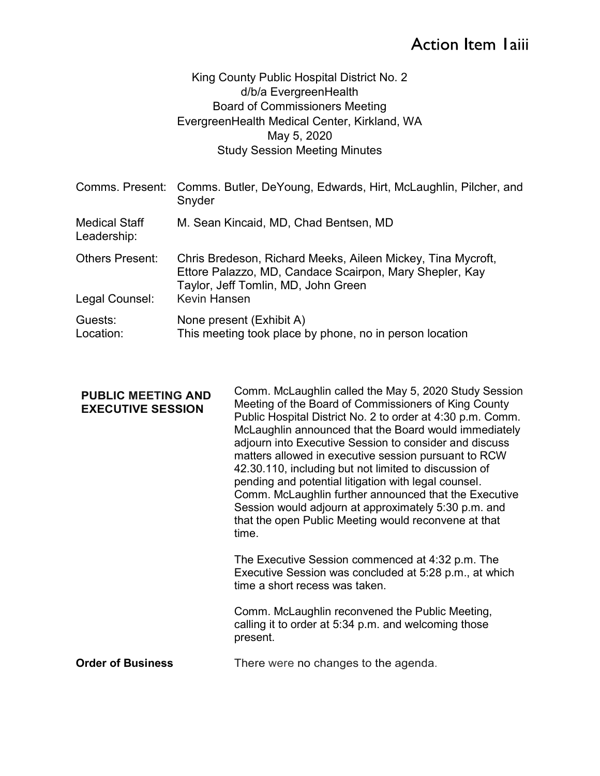## Action Item Iaiii

## King County Public Hospital District No. 2 d/b/a EvergreenHealth Board of Commissioners Meeting EvergreenHealth Medical Center, Kirkland, WA May 5, 2020 Study Session Meeting Minutes

|                                          | Comms. Present: Comms. Butler, DeYoung, Edwards, Hirt, McLaughlin, Pilcher, and<br>Snyder                                                                                     |
|------------------------------------------|-------------------------------------------------------------------------------------------------------------------------------------------------------------------------------|
| <b>Medical Staff</b><br>Leadership:      | M. Sean Kincaid, MD, Chad Bentsen, MD                                                                                                                                         |
| <b>Others Present:</b><br>Legal Counsel: | Chris Bredeson, Richard Meeks, Aileen Mickey, Tina Mycroft,<br>Ettore Palazzo, MD, Candace Scairpon, Mary Shepler, Kay<br>Taylor, Jeff Tomlin, MD, John Green<br>Kevin Hansen |
| Guests:<br>Location:                     | None present (Exhibit A)<br>This meeting took place by phone, no in person location                                                                                           |

| <b>PUBLIC MEETING AND</b><br><b>EXECUTIVE SESSION</b> | Comm. McLaughlin called the May 5, 2020 Study Session<br>Meeting of the Board of Commissioners of King County<br>Public Hospital District No. 2 to order at 4:30 p.m. Comm.<br>McLaughlin announced that the Board would immediately<br>adjourn into Executive Session to consider and discuss<br>matters allowed in executive session pursuant to RCW<br>42.30.110, including but not limited to discussion of<br>pending and potential litigation with legal counsel.<br>Comm. McLaughlin further announced that the Executive<br>Session would adjourn at approximately 5:30 p.m. and<br>that the open Public Meeting would reconvene at that<br>time. |
|-------------------------------------------------------|-----------------------------------------------------------------------------------------------------------------------------------------------------------------------------------------------------------------------------------------------------------------------------------------------------------------------------------------------------------------------------------------------------------------------------------------------------------------------------------------------------------------------------------------------------------------------------------------------------------------------------------------------------------|
|                                                       | The Executive Session commenced at 4:32 p.m. The<br>Executive Session was concluded at 5:28 p.m., at which<br>time a short recess was taken.                                                                                                                                                                                                                                                                                                                                                                                                                                                                                                              |
|                                                       | Comm. McLaughlin reconvened the Public Meeting,<br>calling it to order at 5:34 p.m. and welcoming those<br>present.                                                                                                                                                                                                                                                                                                                                                                                                                                                                                                                                       |

Order of Business There were no changes to the agenda.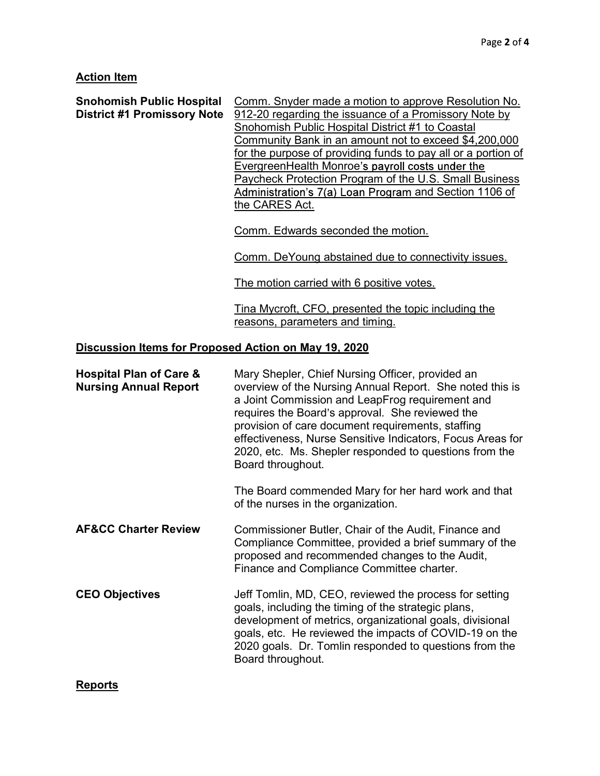## **Action Item**

| <b>Snohomish Public Hospital</b><br><b>District #1 Promissory Note</b> | Comm. Snyder made a motion to approve Resolution No.<br>912-20 regarding the issuance of a Promissory Note by<br>Snohomish Public Hospital District #1 to Coastal<br><u>Community Bank in an amount not to exceed \$4,200,000</u><br>for the purpose of providing funds to pay all or a portion of<br>EvergreenHealth Monroe's payroll costs under the<br>Paycheck Protection Program of the U.S. Small Business<br>Administration's 7(a) Loan Program and Section 1106 of<br>the CARES Act. |  |
|------------------------------------------------------------------------|----------------------------------------------------------------------------------------------------------------------------------------------------------------------------------------------------------------------------------------------------------------------------------------------------------------------------------------------------------------------------------------------------------------------------------------------------------------------------------------------|--|
|                                                                        | Comm. Edwards seconded the motion.                                                                                                                                                                                                                                                                                                                                                                                                                                                           |  |
|                                                                        | Comm. DeYoung abstained due to connectivity issues.                                                                                                                                                                                                                                                                                                                                                                                                                                          |  |
|                                                                        | The motion carried with 6 positive votes.                                                                                                                                                                                                                                                                                                                                                                                                                                                    |  |
|                                                                        | Tina Mycroft, CFO, presented the topic including the<br>reasons, parameters and timing.                                                                                                                                                                                                                                                                                                                                                                                                      |  |
| Discussion Items for Proposed Action on May 19, 2020                   |                                                                                                                                                                                                                                                                                                                                                                                                                                                                                              |  |
| <b>Hospital Plan of Care &amp;</b><br><b>Nursing Annual Report</b>     | Mary Shepler, Chief Nursing Officer, provided an<br>overview of the Nursing Annual Report. She noted this is<br>a Joint Commission and LeapFrog requirement and<br>requires the Board's approval. She reviewed the<br>provision of care document requirements, staffing<br>effectiveness, Nurse Sensitive Indicators, Focus Areas for<br>2020, etc. Ms. Shepler responded to questions from the<br>Board throughout.                                                                         |  |
|                                                                        | The Board commended Mary for her hard work and that<br>of the nurses in the organization.                                                                                                                                                                                                                                                                                                                                                                                                    |  |
| <b>AF&amp;CC Charter Review</b>                                        | Commissioner Butler, Chair of the Audit, Finance and<br>Compliance Committee, provided a brief summary of the<br>proposed and recommended changes to the Audit,<br>Finance and Compliance Committee charter.                                                                                                                                                                                                                                                                                 |  |
| <b>CEO Objectives</b>                                                  | Jeff Tomlin, MD, CEO, reviewed the process for setting<br>goals, including the timing of the strategic plans,<br>development of metrics, organizational goals, divisional<br>goals, etc. He reviewed the impacts of COVID-19 on the<br>2020 goals. Dr. Tomlin responded to questions from the                                                                                                                                                                                                |  |

Board throughout.

**Reports**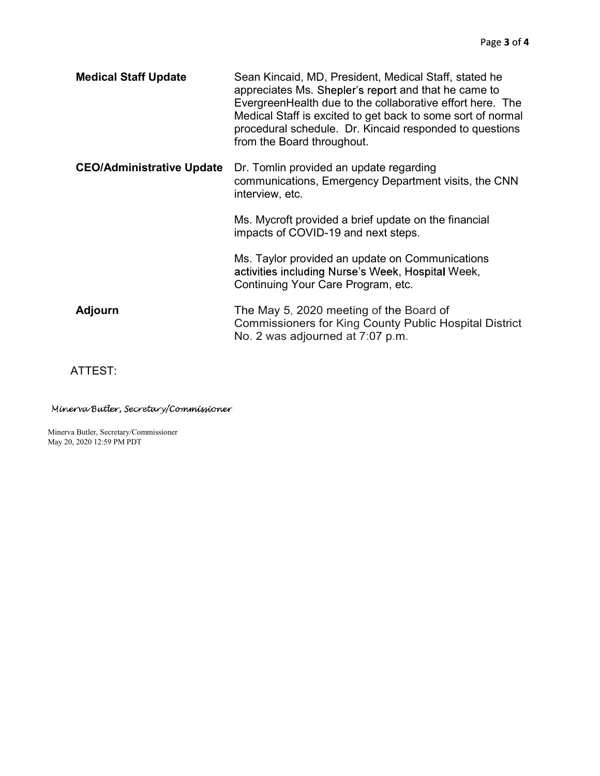| <b>Medical Staff Update</b>      | Sean Kincaid, MD, President, Medical Staff, stated he<br>appreciates Ms. Shepler's report and that he came to<br>Evergreen Health due to the collaborative effort here. The<br>Medical Staff is excited to get back to some sort of normal<br>procedural schedule. Dr. Kincaid responded to questions<br>from the Board throughout. |
|----------------------------------|-------------------------------------------------------------------------------------------------------------------------------------------------------------------------------------------------------------------------------------------------------------------------------------------------------------------------------------|
| <b>CEO/Administrative Update</b> | Dr. Tomlin provided an update regarding<br>communications, Emergency Department visits, the CNN<br>interview, etc.                                                                                                                                                                                                                  |
|                                  | Ms. Mycroft provided a brief update on the financial<br>impacts of COVID-19 and next steps.                                                                                                                                                                                                                                         |
|                                  | Ms. Taylor provided an update on Communications<br>activities including Nurse's Week, Hospital Week,<br>Continuing Your Care Program, etc.                                                                                                                                                                                          |
| <b>Adjourn</b>                   | The May 5, 2020 meeting of the Board of<br><b>Commissioners for King County Public Hospital District</b><br>No. 2 was adjourned at 7:07 p.m.                                                                                                                                                                                        |

ATTEST:

Minerva Butler, Secretary/Commissioner

Minerva Butler, Secretary/Commissioner May 20, 2020 12:59 PM PDT